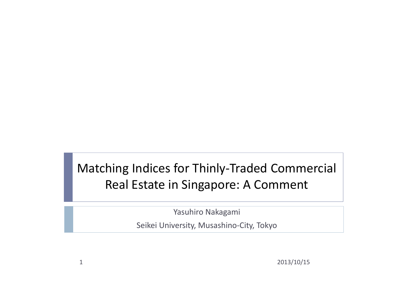### Matching Indices for Thinly-Traded Commercial Real Estate in Singapore: A Comment

Yasuhiro Nakagami

Seikei University, Musashino-City, Tokyo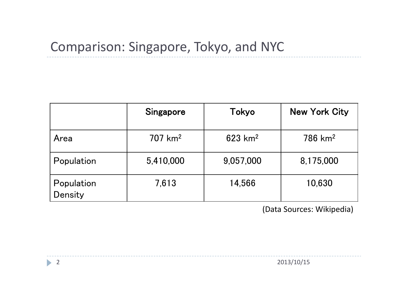#### Comparison: Singapore, Tokyo, and NYC

|                       | Singapore     | Tokyo                 | <b>New York City</b>  |
|-----------------------|---------------|-----------------------|-----------------------|
| Area                  | $707 \; km^2$ | $623$ km <sup>2</sup> | $786$ km <sup>2</sup> |
| Population            | 5,410,000     | 9,057,000             | 8,175,000             |
| Population<br>Density | 7,613         | 14,566                | 10,630                |

(Data Sources: Wikipedia)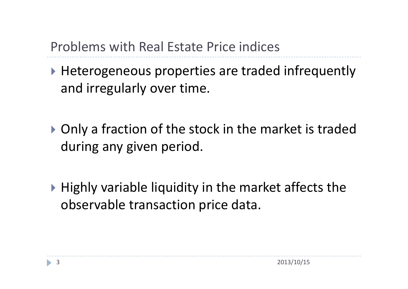Problems with Real Estate Price indices

- ▶ Heterogeneous properties are traded infrequently and irregularly over time.
- ▶ Only a fraction of the stock in the market is traded during any given period.
- $\triangleright$  Highly variable liquidity in the market affects the observable transaction price data.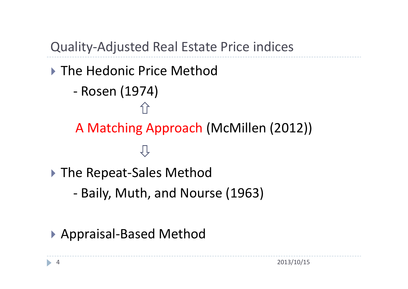Quality-Adjusted Real Estate Price indices

▶ The Hedonic Price Method - Rosen (1974) A Matching Approach (McMillen (2012))ŢΓ ▶ The Repeat-Sales Method - Baily, Muth, and Nourse (1963)

▶ Appraisal-Based Method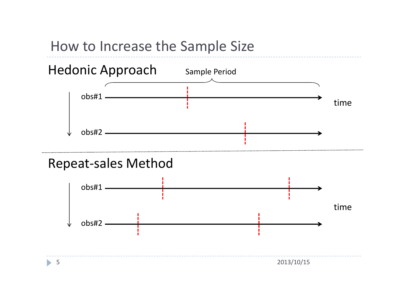



#### Repeat-sales Method

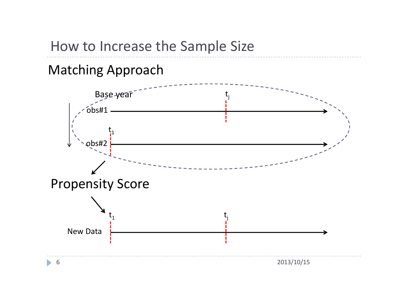#### How to Increase the Sample Size

#### Matching Approach

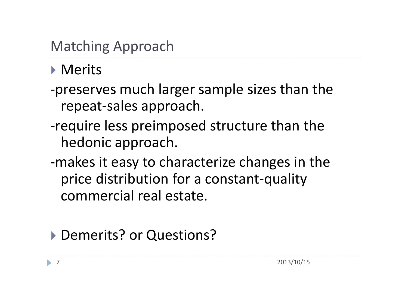## Matching Approach

### **Merits**

- -preserves much larger sample sizes than the repeat-sales approach.
- -require less preimposed structure than the hedonic approach.
- -makes it easy to characterize changes in the price distribution for a constant-quality commercial real estate.

### ▶ Demerits? or Questions?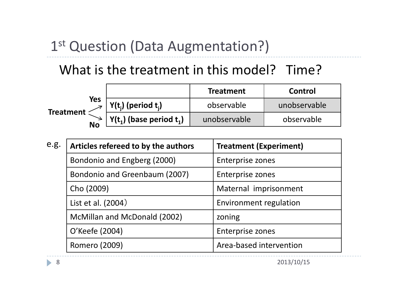## 1st Question (Data Augmentation?)

### What is the treatment in this model? Time?

|                    |                                   | <b>Treatment</b> | Control      |
|--------------------|-----------------------------------|------------------|--------------|
| Yes<br>Treatment < | $Y(t_i)$ (period t <sub>i</sub> ) | observable       | unobservable |
| <b>No</b>          | $Y(t_1)$ (base period $t_1$ )     | unobservable     | observable   |

| e.g. | Articles refereed to by the authors | <b>Treatment (Experiment)</b> |  |
|------|-------------------------------------|-------------------------------|--|
|      | Bondonio and Engberg (2000)         | Enterprise zones              |  |
|      | Bondonio and Greenbaum (2007)       | <b>Enterprise zones</b>       |  |
|      | Cho (2009)                          | Maternal imprisonment         |  |
|      | List et al. (2004)                  | Environment regulation        |  |
|      | McMillan and McDonald (2002)        | zoning                        |  |
|      | O'Keefe (2004)                      | Enterprise zones              |  |
|      | Romero (2009)                       | Area-based intervention       |  |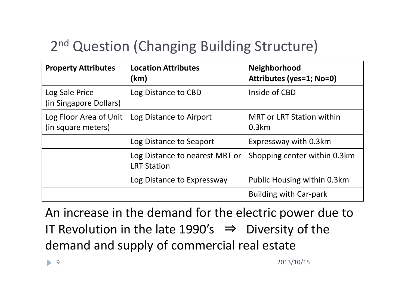# 2<sup>nd</sup> Question (Changing Building Structure)

| <b>Property Attributes</b>                   | <b>Location Attributes</b><br>(km)                   | <b>Neighborhood</b><br>Attributes (yes=1; No=0) |
|----------------------------------------------|------------------------------------------------------|-------------------------------------------------|
| Log Sale Price<br>(in Singapore Dollars)     | Log Distance to CBD                                  | Inside of CBD                                   |
| Log Floor Area of Unit<br>(in square meters) | Log Distance to Airport                              | <b>MRT or LRT Station within</b><br>0.3km       |
|                                              | Log Distance to Seaport                              | Expressway with 0.3km                           |
|                                              | Log Distance to nearest MRT or<br><b>LRT Station</b> | Shopping center within 0.3km                    |
|                                              | Log Distance to Expressway                           | Public Housing within 0.3km                     |
|                                              |                                                      | <b>Building with Car-park</b>                   |

An increase in the demand for the electric power due to IT Revolution in the late 1990's  $\Rightarrow$  Diversity of the demand and supply of commercial real estate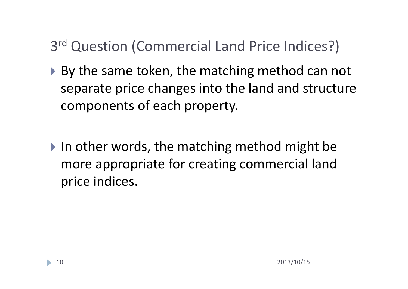# 3 rd Question (Commercial Land Price Indices?)

- ▶ By the same token, the matching method can not separate price changes into the land and structure components of each property.
- $\triangleright$  In other words, the matching method might be more appropriate for creating commercial land price indices.